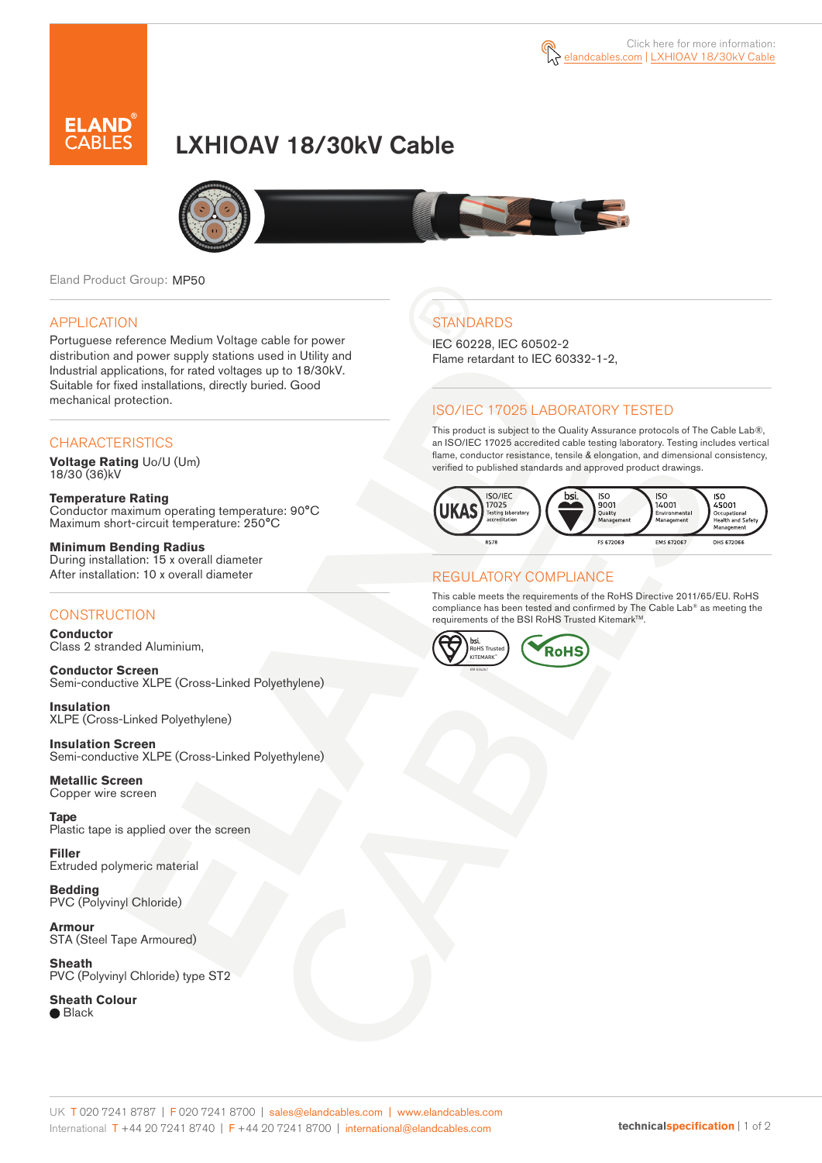

# LXHIOAV 18/30kV Cable



Eland Product Group: MP50

### APPLICATION

Portuguese reference Medium Voltage cable for power distribution and power supply stations used in Utility and Industrial applications, for rated voltages up to 18/30kV. Suitable for fixed installations, directly buried. Good mechanical protection.

### **CHARACTERISTICS**

**Voltage Rating** Uo/U (Um) 18/30 (36)kV

**Temperature Rating** Conductor maximum operating temperature: 90°C Maximum short-circuit temperature: 250°C

**Minimum Bending Radius** During installation: 15 x overall diameter After installation: 10 x overall diameter

### **CONSTRUCTION**

**Conductor**  Class 2 stranded Aluminium,

**Conductor Screen** Semi-conductive XLPE (Cross-Linked Polyethylene)

**Insulation** XLPE (Cross-Linked Polyethylene)

**Insulation Screen** Semi-conductive XLPE (Cross-Linked Polyethylene)

**Metallic Screen**  Copper wire screen

**Tape**  Plastic tape is applied over the screen

**Filler** Extruded polymeric material

**Bedding** PVC (Polyvinyl Chloride)

**Armour** STA (Steel Tape Armoured)

**Sheath** PVC (Polyvinyl Chloride) type ST2

**Sheath Colour ■** Black

## **STANDARDS**

IEC 60228, IEC 60502-2 Flame retardant to IEC 60332-1-2,

### ISO/IEC 17025 LABORATORY TESTED

This product is subject to the Quality Assurance protocols of The Cable Lab®, an ISO/IEC 17025 accredited cable testing laboratory. Testing includes vertical flame, conductor resistance, tensile & elongation, and dimensional consistency, verified to published standards and approved product drawings.



### REGULATORY COMPLIANCE

This cable meets the requirements of the RoHS Directive 2011/65/EU. RoHS compliance has been tested and confirmed by The Cable Lab® as meeting the requirements of the BSI RoHS Trusted Kitemark™.